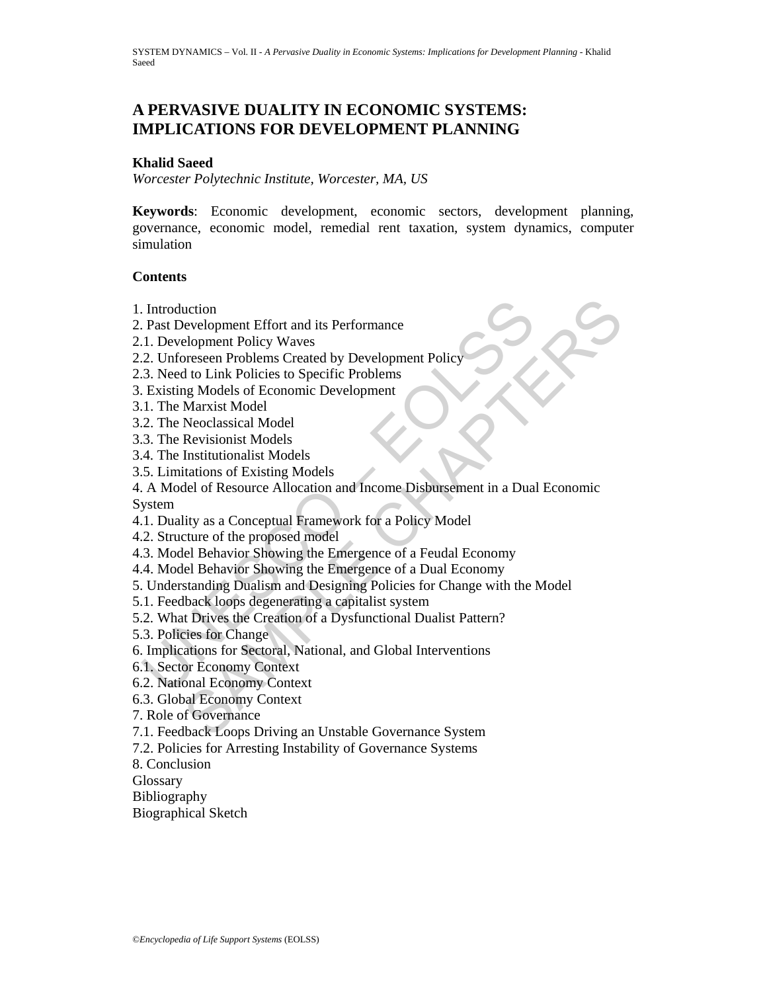# **A PERVASIVE DUALITY IN ECONOMIC SYSTEMS: IMPLICATIONS FOR DEVELOPMENT PLANNING**

#### **Khalid Saeed**

*Worcester Polytechnic Institute, Worcester, MA, US* 

**Keywords**: Economic development, economic sectors, development planning, governance, economic model, remedial rent taxation, system dynamics, computer simulation

# **Contents**

- 1. Introduction
- 2. Past Development Effort and its Performance
- 2.1. Development Policy Waves
- 2.2. Unforeseen Problems Created by Development Policy
- 2.3. Need to Link Policies to Specific Problems
- 3. Existing Models of Economic Development
- 3.1. The Marxist Model
- 3.2. The Neoclassical Model
- 3.3. The Revisionist Models
- 3.4. The Institutionalist Models
- 3.5. Limitations of Existing Models
- Introduction<br>
2. Development Effort and its Performance<br>
1. Development Policy Waves<br>
2. Unforeseen Problems Created by Development Policy<br>
3. Need to Link Policies to Specific Problems<br>
Existing Models of Economic Develop uction<br>evelopment Effort and its Performance<br>evelopment Policy Waves<br>gressen Problems Created by Development Policy<br>due of the Link Policies to Specific Problems<br>Marxist Model<br>Newsionist Models<br>Institutionalist Models<br>Inst 4. A Model of Resource Allocation and Income Disbursement in a Dual Economic System
- 4.1. Duality as a Conceptual Framework for a Policy Model
- 4.2. Structure of the proposed model
- 4.3. Model Behavior Showing the Emergence of a Feudal Economy
- 4.4. Model Behavior Showing the Emergence of a Dual Economy
- 5. Understanding Dualism and Designing Policies for Change with the Model
- 5.1. Feedback loops degenerating a capitalist system
- 5.2. What Drives the Creation of a Dysfunctional Dualist Pattern?
- 5.3. Policies for Change
- 6. Implications for Sectoral, National, and Global Interventions
- 6.1. Sector Economy Context
- 6.2. National Economy Context
- 6.3. Global Economy Context
- 7. Role of Governance
- 7.1. Feedback Loops Driving an Unstable Governance System
- 7.2. Policies for Arresting Instability of Governance Systems
- 8. Conclusion
- **Glossary**
- Bibliography
- Biographical Sketch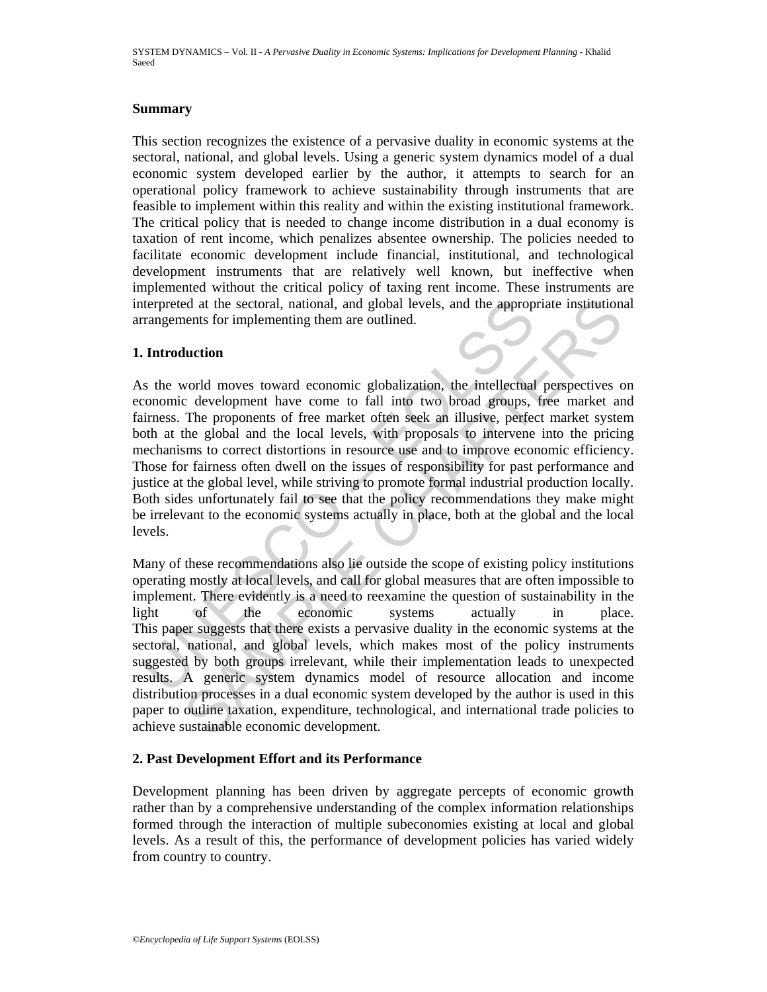#### **Summary**

This section recognizes the existence of a pervasive duality in economic systems at the sectoral, national, and global levels. Using a generic system dynamics model of a dual economic system developed earlier by the author, it attempts to search for an operational policy framework to achieve sustainability through instruments that are feasible to implement within this reality and within the existing institutional framework. The critical policy that is needed to change income distribution in a dual economy is taxation of rent income, which penalizes absentee ownership. The policies needed to facilitate economic development include financial, institutional, and technological development instruments that are relatively well known, but ineffective when implemented without the critical policy of taxing rent income. These instruments are interpreted at the sectoral, national, and global levels, and the appropriate institutional arrangements for implementing them are outlined.

#### **1. Introduction**

terpreted at the sectoral, national, and global levels, and the approp<br>
rangements for implementing them are outlined.<br> **Introduction**<br>
s the world moves toward economic globalization, the intellectual<br>
conomic development As the world moves toward economic globalization, the intellectual perspectives on economic development have come to fall into two broad groups, free market and fairness. The proponents of free market often seek an illusive, perfect market system both at the global and the local levels, with proposals to intervene into the pricing mechanisms to correct distortions in resource use and to improve economic efficiency. Those for fairness often dwell on the issues of responsibility for past performance and justice at the global level, while striving to promote formal industrial production locally. Both sides unfortunately fail to see that the policy recommendations they make might be irrelevant to the economic systems actually in place, both at the global and the local levels.

d at the sectoral, national, and global levels, and the appropriate institutions<br>
nents for implementing them are outlined.<br> **Auction**<br>
world moves toward economic globalization, the intellectual perspectives of<br>
celvelopm Many of these recommendations also lie outside the scope of existing policy institutions operating mostly at local levels, and call for global measures that are often impossible to implement. There evidently is a need to reexamine the question of sustainability in the light of the economic systems actually in place. This paper suggests that there exists a pervasive duality in the economic systems at the sectoral, national, and global levels, which makes most of the policy instruments suggested by both groups irrelevant, while their implementation leads to unexpected results. A generic system dynamics model of resource allocation and income distribution processes in a dual economic system developed by the author is used in this paper to outline taxation, expenditure, technological, and international trade policies to achieve sustainable economic development.

#### **2. Past Development Effort and its Performance**

Development planning has been driven by aggregate percepts of economic growth rather than by a comprehensive understanding of the complex information relationships formed through the interaction of multiple subeconomies existing at local and global levels. As a result of this, the performance of development policies has varied widely from country to country.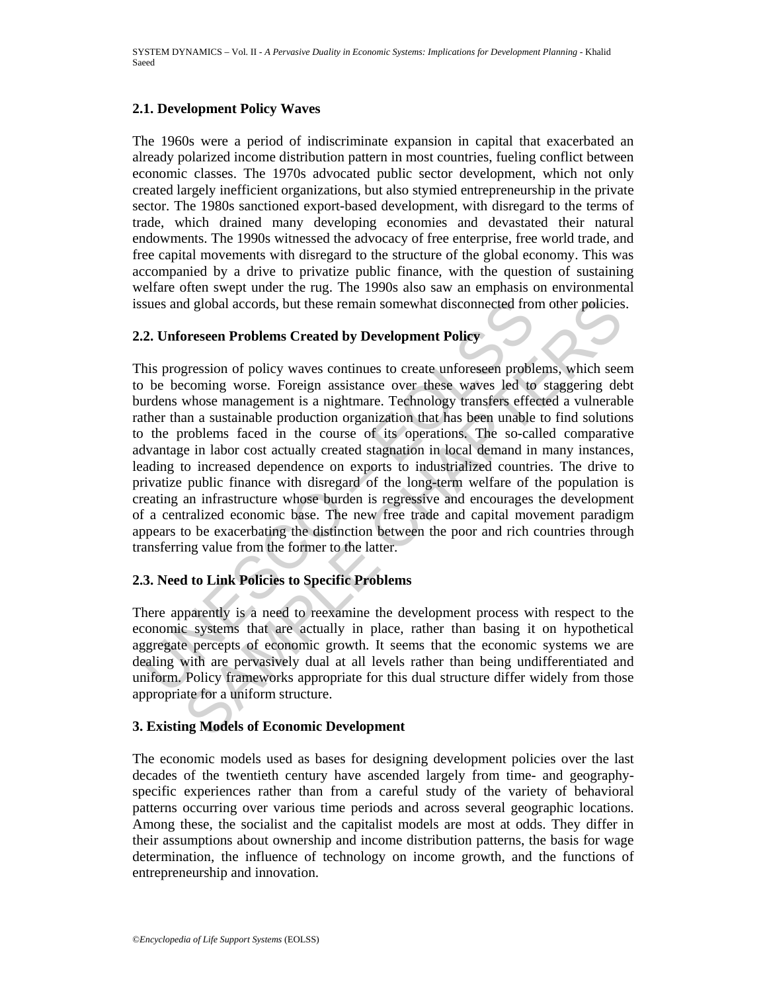# **2.1. Development Policy Waves**

The 1960s were a period of indiscriminate expansion in capital that exacerbated an already polarized income distribution pattern in most countries, fueling conflict between economic classes. The 1970s advocated public sector development, which not only created largely inefficient organizations, but also stymied entrepreneurship in the private sector. The 1980s sanctioned export-based development, with disregard to the terms of trade, which drained many developing economies and devastated their natural endowments. The 1990s witnessed the advocacy of free enterprise, free world trade, and free capital movements with disregard to the structure of the global economy. This was accompanied by a drive to privatize public finance, with the question of sustaining welfare often swept under the rug. The 1990s also saw an emphasis on environmental issues and global accords, but these remain somewhat disconnected from other policies.

# **2.2. Unforeseen Problems Created by Development Policy**

sues and global accords, but these remain somewhat disconnected from<br>
2. Unforeseen Problems Created by Development Policy<br>
his progression of policy waves continues to create unforeseen problement<br>
his progression of poli d global accords, but these remain somewhat disconnected from other policies<br>oreseen Problems Created by Development Policy<br>gression of policy waves continues to create unforeseen problems, which see<br>coming worse. Foreign This progression of policy waves continues to create unforeseen problems, which seem to be becoming worse. Foreign assistance over these waves led to staggering debt burdens whose management is a nightmare. Technology transfers effected a vulnerable rather than a sustainable production organization that has been unable to find solutions to the problems faced in the course of its operations. The so-called comparative advantage in labor cost actually created stagnation in local demand in many instances, leading to increased dependence on exports to industrialized countries. The drive to privatize public finance with disregard of the long-term welfare of the population is creating an infrastructure whose burden is regressive and encourages the development of a centralized economic base. The new free trade and capital movement paradigm appears to be exacerbating the distinction between the poor and rich countries through transferring value from the former to the latter.

# **2.3. Need to Link Policies to Specific Problems**

There apparently is a need to reexamine the development process with respect to the economic systems that are actually in place, rather than basing it on hypothetical aggregate percepts of economic growth. It seems that the economic systems we are dealing with are pervasively dual at all levels rather than being undifferentiated and uniform. Policy frameworks appropriate for this dual structure differ widely from those appropriate for a uniform structure.

#### **3. Existing Models of Economic Development**

The economic models used as bases for designing development policies over the last decades of the twentieth century have ascended largely from time- and geographyspecific experiences rather than from a careful study of the variety of behavioral patterns occurring over various time periods and across several geographic locations. Among these, the socialist and the capitalist models are most at odds. They differ in their assumptions about ownership and income distribution patterns, the basis for wage determination, the influence of technology on income growth, and the functions of entrepreneurship and innovation.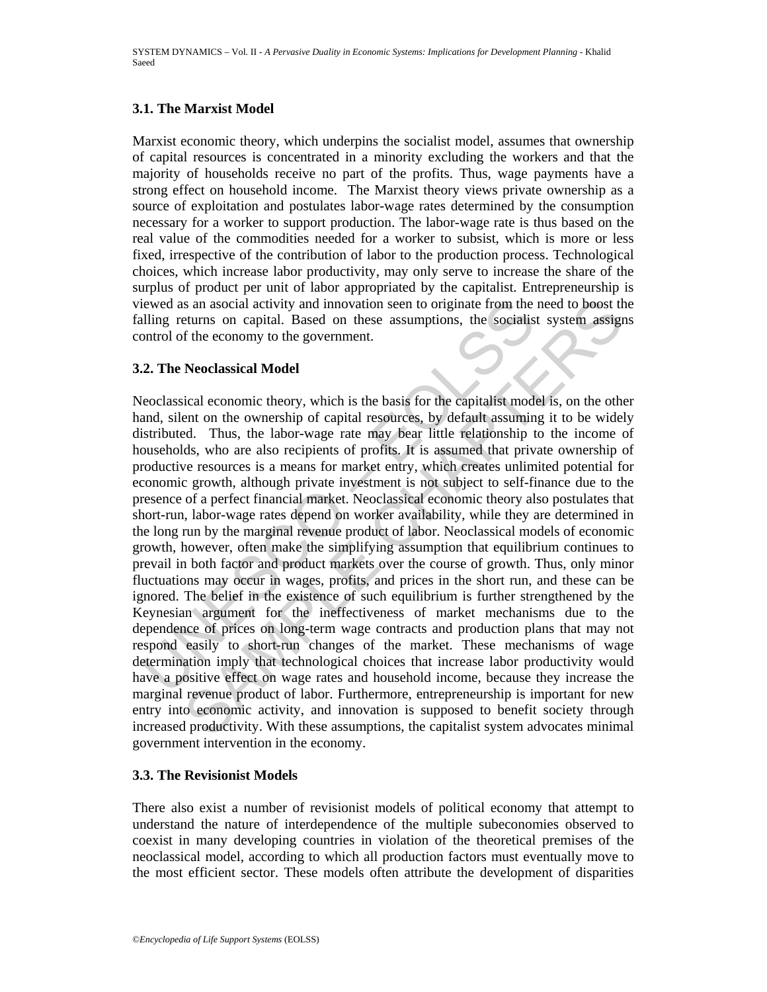# **3.1. The Marxist Model**

Marxist economic theory, which underpins the socialist model, assumes that ownership of capital resources is concentrated in a minority excluding the workers and that the majority of households receive no part of the profits. Thus, wage payments have a strong effect on household income. The Marxist theory views private ownership as a source of exploitation and postulates labor-wage rates determined by the consumption necessary for a worker to support production. The labor-wage rate is thus based on the real value of the commodities needed for a worker to subsist, which is more or less fixed, irrespective of the contribution of labor to the production process. Technological choices, which increase labor productivity, may only serve to increase the share of the surplus of product per unit of labor appropriated by the capitalist. Entrepreneurship is viewed as an asocial activity and innovation seen to originate from the need to boost the falling returns on capital. Based on these assumptions, the socialist system assigns control of the economy to the government.

# **3.2. The Neoclassical Model**

iewed as an asocial activity and innovation seen to originate from the lling returns on capital. Based on these assumptions, the socialis ontrol of the economy to the government.<br>
2. The Neoclassical economic theory, which is an asocial activity and innovation seen to originate from the need to boost the turns on capital. Based on these assumptions, the socialist system assign the economy to the government.<br> **Neoclassical Model**<br>
ical econom Neoclassical economic theory, which is the basis for the capitalist model is, on the other hand, silent on the ownership of capital resources, by default assuming it to be widely distributed. Thus, the labor-wage rate may bear little relationship to the income of households, who are also recipients of profits. It is assumed that private ownership of productive resources is a means for market entry, which creates unlimited potential for economic growth, although private investment is not subject to self-finance due to the presence of a perfect financial market. Neoclassical economic theory also postulates that short-run, labor-wage rates depend on worker availability, while they are determined in the long run by the marginal revenue product of labor. Neoclassical models of economic growth, however, often make the simplifying assumption that equilibrium continues to prevail in both factor and product markets over the course of growth. Thus, only minor fluctuations may occur in wages, profits, and prices in the short run, and these can be ignored. The belief in the existence of such equilibrium is further strengthened by the Keynesian argument for the ineffectiveness of market mechanisms due to the dependence of prices on long-term wage contracts and production plans that may not respond easily to short-run changes of the market. These mechanisms of wage determination imply that technological choices that increase labor productivity would have a positive effect on wage rates and household income, because they increase the marginal revenue product of labor. Furthermore, entrepreneurship is important for new entry into economic activity, and innovation is supposed to benefit society through increased productivity. With these assumptions, the capitalist system advocates minimal government intervention in the economy.

#### **3.3. The Revisionist Models**

There also exist a number of revisionist models of political economy that attempt to understand the nature of interdependence of the multiple subeconomies observed to coexist in many developing countries in violation of the theoretical premises of the neoclassical model, according to which all production factors must eventually move to the most efficient sector. These models often attribute the development of disparities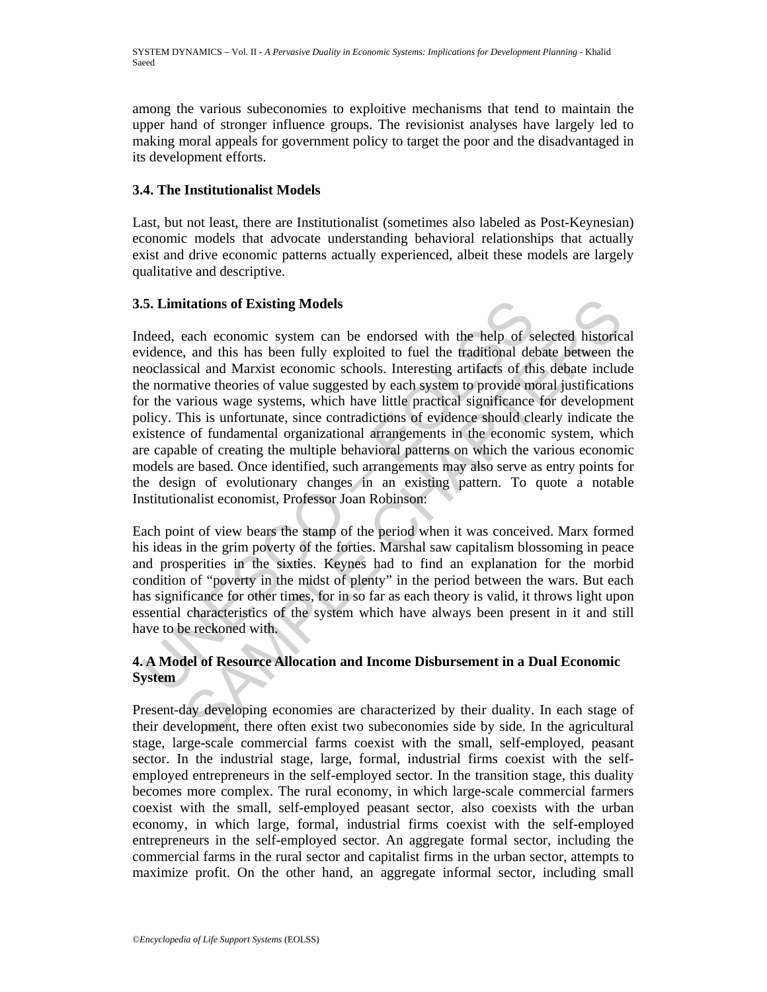among the various subeconomies to exploitive mechanisms that tend to maintain the upper hand of stronger influence groups. The revisionist analyses have largely led to making moral appeals for government policy to target the poor and the disadvantaged in its development efforts.

# **3.4. The Institutionalist Models**

Last, but not least, there are Institutionalist (sometimes also labeled as Post-Keynesian) economic models that advocate understanding behavioral relationships that actually exist and drive economic patterns actually experienced, albeit these models are largely qualitative and descriptive.

# **3.5. Limitations of Existing Models**

5. Limitations of Existing Models<br>
adeed, each economic system can be endorsed with the help of sovidence, and this has been fully exploited to fuel the traditional del<br>
eoclassical and Marxist economic schools. Interestin itations of Existing Models<br>cach cconomic system can be endorsed with the help of selected historics,<br>and this has been fully exploited to fuel the traditional debate between th<br>calcal and Marxist economic schools. Interes Indeed, each economic system can be endorsed with the help of selected historical evidence, and this has been fully exploited to fuel the traditional debate between the neoclassical and Marxist economic schools. Interesting artifacts of this debate include the normative theories of value suggested by each system to provide moral justifications for the various wage systems, which have little practical significance for development policy. This is unfortunate, since contradictions of evidence should clearly indicate the existence of fundamental organizational arrangements in the economic system, which are capable of creating the multiple behavioral patterns on which the various economic models are based. Once identified, such arrangements may also serve as entry points for the design of evolutionary changes in an existing pattern. To quote a notable Institutionalist economist, Professor Joan Robinson:

Each point of view bears the stamp of the period when it was conceived. Marx formed his ideas in the grim poverty of the forties. Marshal saw capitalism blossoming in peace and prosperities in the sixties. Keynes had to find an explanation for the morbid condition of "poverty in the midst of plenty" in the period between the wars. But each has significance for other times, for in so far as each theory is valid, it throws light upon essential characteristics of the system which have always been present in it and still have to be reckoned with.

# **4. A Model of Resource Allocation and Income Disbursement in a Dual Economic System**

Present-day developing economies are characterized by their duality. In each stage of their development, there often exist two subeconomies side by side. In the agricultural stage, large-scale commercial farms coexist with the small, self-employed, peasant sector. In the industrial stage, large, formal, industrial firms coexist with the selfemployed entrepreneurs in the self-employed sector. In the transition stage, this duality becomes more complex. The rural economy, in which large-scale commercial farmers coexist with the small, self-employed peasant sector, also coexists with the urban economy, in which large, formal, industrial firms coexist with the self-employed entrepreneurs in the self-employed sector. An aggregate formal sector, including the commercial farms in the rural sector and capitalist firms in the urban sector, attempts to maximize profit. On the other hand, an aggregate informal sector, including small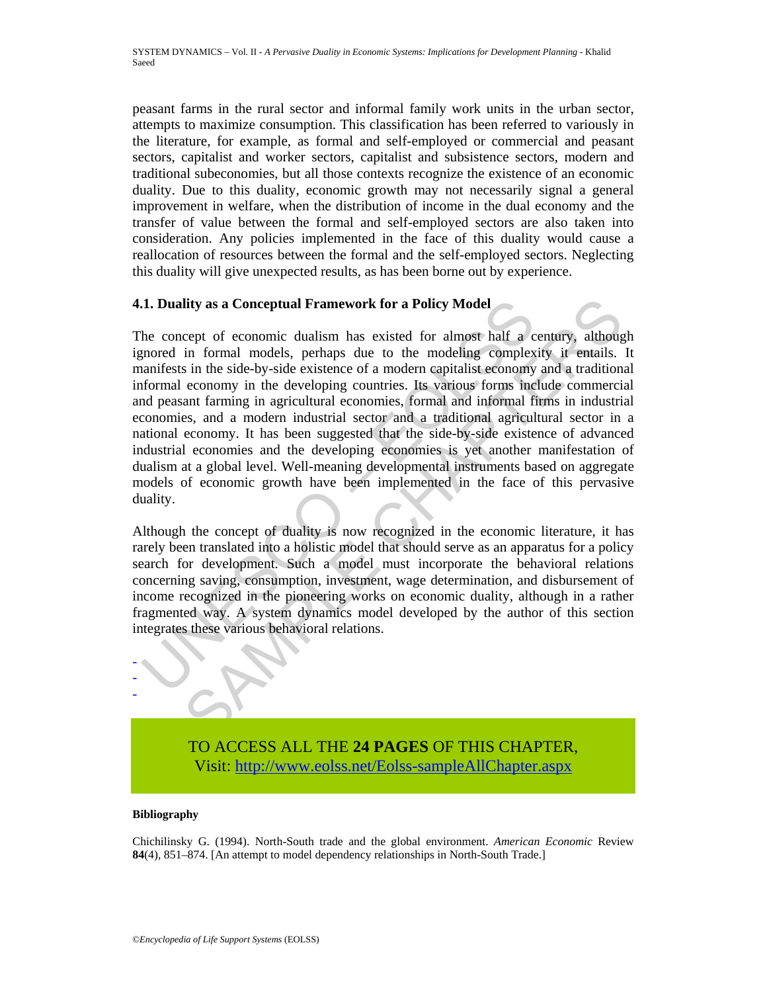peasant farms in the rural sector and informal family work units in the urban sector, attempts to maximize consumption. This classification has been referred to variously in the literature, for example, as formal and self-employed or commercial and peasant sectors, capitalist and worker sectors, capitalist and subsistence sectors, modern and traditional subeconomies, but all those contexts recognize the existence of an economic duality. Due to this duality, economic growth may not necessarily signal a general improvement in welfare, when the distribution of income in the dual economy and the transfer of value between the formal and self-employed sectors are also taken into consideration. Any policies implemented in the face of this duality would cause a reallocation of resources between the formal and the self-employed sectors. Neglecting this duality will give unexpected results, as has been borne out by experience.

# **4.1. Duality as a Conceptual Framework for a Policy Model**

1. Duality as a Conceptual Framework for a Policy Model<br>the concept of economic dualism has existed for almost half a c<br>nored in formal models, perhaps due to the modeling complex<br>anifests in the side-by-side existence of lity as a Conceptual Framework for a Policy Model<br>ccpt of cconomic dualism has existed for almost half a century, althoug<br>in formal models, perhaps due to the modeling complexity it entails.<br>So in the side-by-side existenc The concept of economic dualism has existed for almost half a century, although ignored in formal models, perhaps due to the modeling complexity it entails. It manifests in the side-by-side existence of a modern capitalist economy and a traditional informal economy in the developing countries. Its various forms include commercial and peasant farming in agricultural economies, formal and informal firms in industrial economies, and a modern industrial sector and a traditional agricultural sector in a national economy. It has been suggested that the side-by-side existence of advanced industrial economies and the developing economies is yet another manifestation of dualism at a global level. Well-meaning developmental instruments based on aggregate models of economic growth have been implemented in the face of this pervasive duality.

Although the concept of duality is now recognized in the economic literature, it has rarely been translated into a holistic model that should serve as an apparatus for a policy search for development. Such a model must incorporate the behavioral relations concerning saving, consumption, investment, wage determination, and disbursement of income recognized in the pioneering works on economic duality, although in a rather fragmented way. A system dynamics model developed by the author of this section integrates these various behavioral relations.



#### **Bibliography**

- - -

Chichilinsky G. (1994). North-South trade and the global environment. *American Economic* Review **84**(4), 851–874. [An attempt to model dependency relationships in North-South Trade.]